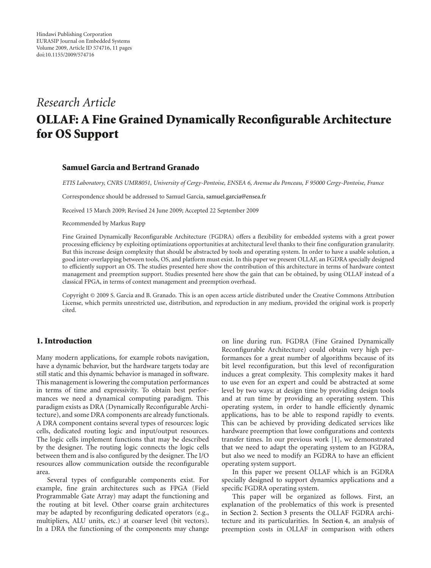# *Research Article* **OLLAF: A Fine Grained Dynamically Reconfigurable Architecture for OS Support**

#### **Samuel Garcia and Bertrand Granado**

*ETIS Laboratory, CNRS UMR8051, University of Cergy-Pontoise, ENSEA 6, Avenue du Ponceau, F 95000 Cergy-Pontoise, France*

Correspondence should be addressed to Samuel Garcia, samuel.garcia@ensea.fr

Received 15 March 2009; Revised 24 June 2009; Accepted 22 September 2009

Recommended by Markus Rupp

Fine Grained Dynamically Reconfigurable Architecture (FGDRA) offers a flexibility for embedded systems with a great power processing efficiency by exploiting optimizations opportunities at architectural level thanks to their fine configuration granularity. But this increase design complexity that should be abstracted by tools and operating system. In order to have a usable solution, a good inter-overlapping between tools, OS, and platform must exist. In this paper we present OLLAF, an FGDRA specially designed to efficiently support an OS. The studies presented here show the contribution of this architecture in terms of hardware context management and preemption support. Studies presented here show the gain that can be obtained, by using OLLAF instead of a classical FPGA, in terms of context management and preemption overhead.

Copyright © 2009 S. Garcia and B. Granado. This is an open access article distributed under the Creative Commons Attribution License, which permits unrestricted use, distribution, and reproduction in any medium, provided the original work is properly cited.

### **1. Introduction**

Many modern applications, for example robots navigation, have a dynamic behavior, but the hardware targets today are still static and this dynamic behavior is managed in software. This management is lowering the computation performances in terms of time and expressivity. To obtain best performances we need a dynamical computing paradigm. This paradigm exists as DRA (Dynamically Reconfigurable Architecture), and some DRA components are already functionals. A DRA component contains several types of resources: logic cells, dedicated routing logic and input/output resources. The logic cells implement functions that may be described by the designer. The routing logic connects the logic cells between them and is also configured by the designer. The I/O resources allow communication outside the reconfigurable area.

Several types of configurable components exist. For example, fine grain architectures such as FPGA (Field Programmable Gate Array) may adapt the functioning and the routing at bit level. Other coarse grain architectures may be adapted by reconfiguring dedicated operators (e.g., multipliers, ALU units, etc.) at coarser level (bit vectors). In a DRA the functioning of the components may change

on line during run. FGDRA (Fine Grained Dynamically Reconfigurable Architecture) could obtain very high performances for a great number of algorithms because of its bit level reconfiguration, but this level of reconfiguration induces a great complexity. This complexity makes it hard to use even for an expert and could be abstracted at some level by two ways: at design time by providing design tools and at run time by providing an operating system. This operating system, in order to handle efficiently dynamic applications, has to be able to respond rapidly to events. This can be achieved by providing dedicated services like hardware preemption that lowe configurations and contexts transfer times. In our previous work [1], we demonstrated that we need to adapt the operating system to an FGDRA, but also we need to modify an FGDRA to have an efficient operating system support.

In this paper we present OLLAF which is an FGDRA specially designed to support dynamics applications and a specific FGDRA operating system.

This paper will be organized as follows. First, an explanation of the problematics of this work is presented in Section 2. Section 3 presents the OLLAF FGDRA architecture and its particularities. In Section 4, an analysis of preemption costs in OLLAF in comparison with others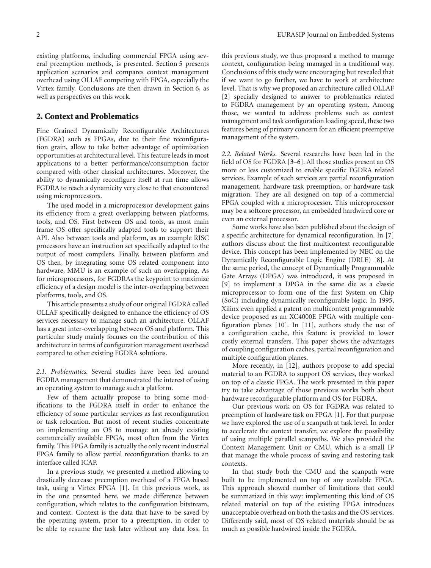existing platforms, including commercial FPGA using several preemption methods, is presented. Section 5 presents application scenarios and compares context management overhead using OLLAF competing with FPGA, especially the Virtex family. Conclusions are then drawn in Section 6, as well as perspectives on this work.

#### **2. Context and Problematics**

Fine Grained Dynamically Reconfigurable Architectures (FGDRA) such as FPGAs, due to their fine reconfiguration grain, allow to take better advantage of optimization opportunities at architectural level. This feature leads in most applications to a better performance/consumption factor compared with other classical architectures. Moreover, the ability to dynamically reconfigure itself at run time allows FGDRA to reach a dynamicity very close to that encountered using microprocessors.

The used model in a microprocessor development gains its efficiency from a great overlapping between platforms, tools, and OS. First between OS and tools, as most main frame OS offer specifically adapted tools to support their API. Also between tools and platform, as an example RISC processors have an instruction set specifically adapted to the output of most compilers. Finally, between platform and OS then, by integrating some OS related component into hardware, MMU is an example of such an overlapping. As for microprocessors, for FGDRAs the keypoint to maximize efficiency of a design model is the inter-overlapping between platforms, tools, and OS.

This article presents a study of our original FGDRA called OLLAF specifically designed to enhance the efficiency of OS services necessary to manage such an architecture. OLLAF has a great inter-overlapping between OS and platform. This particular study mainly focuses on the contribution of this architecture in terms of configuration management overhead compared to other existing FGDRA solutions.

*2.1. Problematics.* Several studies have been led around FGDRA management that demonstrated the interest of using an operating system to manage such a platform.

Few of them actually propose to bring some modifications to the FGDRA itself in order to enhance the efficiency of some particular services as fast reconfiguration or task relocation. But most of recent studies concentrate on implementing an OS to manage an already existing commercially available FPGA, most often from the Virtex family. This FPGA family is actually the only recent industrial FPGA family to allow partial reconfiguration thanks to an interface called ICAP.

In a previous study, we presented a method allowing to drastically decrease preemption overhead of a FPGA based task, using a Virtex FPGA [1]. In this previous work, as in the one presented here, we made difference between configuration, which relates to the configuration bitstream, and context. Context is the data that have to be saved by the operating system, prior to a preemption, in order to be able to resume the task later without any data loss. In

this previous study, we thus proposed a method to manage context, configuration being managed in a traditional way. Conclusions of this study were encouraging but revealed that if we want to go further, we have to work at architecture level. That is why we proposed an architecture called OLLAF [2] specially designed to answer to problematics related to FGDRA management by an operating system. Among those, we wanted to address problems such as context management and task configuration loading speed, these two features being of primary concern for an efficient preemptive management of the system.

*2.2. Related Works.* Several researchs have been led in the field of OS for FGDRA [3–6]. All those studies present an OS more or less customized to enable specific FGDRA related services. Example of such services are partial reconfiguration management, hardware task preemption, or hardware task migration. They are all designed on top of a commercial FPGA coupled with a microprocessor. This microprocessor may be a softcore processor, an embedded hardwired core or even an external processor.

Some works have also been published about the design of a specific architecture for dynamical reconfiguration. In [7] authors discuss about the first multicontext reconfigurable device. This concept has been implemented by NEC on the Dynamically Reconfigurable Logic Engine (DRLE) [8]. At the same period, the concept of Dynamically Programmable Gate Arrays (DPGA) was introduced, it was proposed in [9] to implement a DPGA in the same die as a classic microprocessor to form one of the first System on Chip (SoC) including dynamically reconfigurable logic. In 1995, Xilinx even applied a patent on multicontext programmable device proposed as an XC4000E FPGA with multiple configuration planes [10]. In [11], authors study the use of a configuration cache, this feature is provided to lower costly external transfers. This paper shows the advantages of coupling configuration caches, partial reconfiguration and multiple configuration planes.

More recently, in [12], authors propose to add special material to an FGDRA to support OS services, they worked on top of a classic FPGA. The work presented in this paper try to take advantage of those previous works both about hardware reconfigurable platform and OS for FGDRA.

Our previous work on OS for FGDRA was related to preemption of hardware task on FPGA [1]. For that purpose we have explored the use of a scanpath at task level. In order to accelerate the context transfer, we explore the possibility of using multiple parallel scanpaths. We also provided the Context Management Unit or CMU, which is a small IP that manage the whole process of saving and restoring task contexts.

In that study both the CMU and the scanpath were built to be implemented on top of any available FPGA. This approach showed number of limitations that could be summarized in this way: implementing this kind of OS related material on top of the existing FPGA introduces unacceptable overhead on both the tasks and the OS services. Differently said, most of OS related materials should be as much as possible hardwired inside the FGDRA.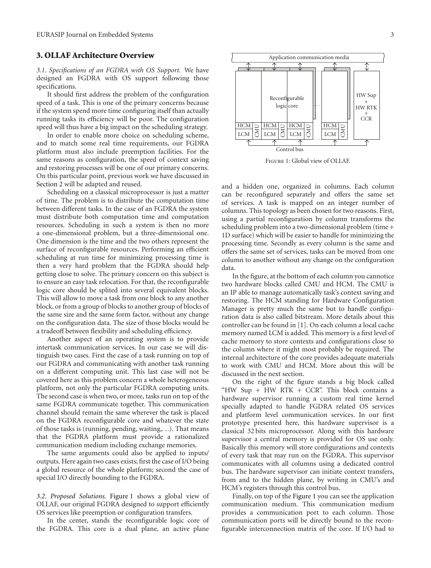## **3. OLLAF Architecture Overview**

*3.1. Specifications of an FGDRA with OS Support.* We have designed an FGDRA with OS support following those specifications.

It should first address the problem of the configuration speed of a task. This is one of the primary concerns because if the system spend more time configuring itself than actually running tasks its efficiency will be poor. The configuration speed will thus have a big impact on the scheduling strategy.

In order to enable more choice on scheduling scheme, and to match some real time requirements, our FGDRA platform must also include preemption facilities. For the same reasons as configuration, the speed of context saving and restoring processes will be one of our primary concerns. On this particular point, previous work we have discussed in Section 2 will be adapted and reused.

Scheduling on a classical microprocessor is just a matter of time. The problem is to distribute the computation time between different tasks. In the case of an FGDRA the system must distribute both computation time and computation resources. Scheduling in such a system is then no more a one-dimensional problem, but a three-dimensional one. One dimension is the time and the two others represent the surface of reconfigurable resources. Performing an efficient scheduling at run time for minimizing processing time is then a very hard problem that the FGDRA should help getting close to solve. The primary concern on this subject is to ensure an easy task relocation. For that, the reconfigurable logic core should be splited into several equivalent blocks. This will allow to move a task from one block to any another block, or from a group of blocks to another group of blocks of the same size and the same form factor, without any change on the configuration data. The size of those blocks would be a tradeoff between flexibility and scheduling efficiency.

Another aspect of an operating system is to provide intertask communication services. In our case we will distinguish two cases. First the case of a task running on top of our FGDRA and communicating with another task running on a different computing unit. This last case will not be covered here as this problem concern a whole heterogeneous platform, not only the particular FGDRA computing units. The second case is when two, or more, tasks run on top of the same FGDRA communicate together. This communication channel should remain the same wherever the task is placed on the FGDRA reconfigurable core and whatever the state of those tasks is (running, pending, waiting,*...*). That means that the FGDRA platform must provide a rationalized communication medium including exchange memories.

The same arguments could also be applied to inputs/ outputs. Here again two cases exists; first the case of I/O being a global resource of the whole platform; second the case of special I/O directly bounding to the FGDRA.

*3.2. Proposed Solutions.* Figure 1 shows a global view of OLLAF, our original FGDRA designed to support efficiently OS services like preemption or configuration transfers.

In the center, stands the reconfigurable logic core of the FGDRA. This core is a dual plane, an active plane



Figure 1: Global view of OLLAF.

and a hidden one, organized in columns. Each column can be reconfigured separately and offers the same set of services. A task is mapped on an integer number of columns. This topology as been chosen for two reasons. First, using a partial reconfiguration by column transforms the scheduling problem into a two-dimensional problem (time + 1D surface) which will be easier to handle for minimizing the processing time. Secondly as every column is the same and offers the same set of services, tasks can be moved from one column to another without any change on the configuration data.

In the figure, at the bottom of each column you cannotice two hardware blocks called CMU and HCM. The CMU is an IP able to manage automatically task's context saving and restoring. The HCM standing for Hardware Configuration Manager is pretty much the same but to handle configuration data is also called bitstream. More details about this controller can be found in [1]. On each column a local cache memory named LCM is added. This memory is a first level of cache memory to store contexts and configurations close to the column where it might most probably be required. The internal architecture of the core provides adequate materials to work with CMU and HCM. More about this will be discussed in the next section.

On the right of the figure stands a big block called "HW Sup + HW RTK + CCR". This block contains a hardware supervisor running a custom real time kernel specially adapted to handle FGDRA related OS services and platform level communication services. In our first prototype presented here, this hardware supervisor is a classical 32 bits microprocessor. Along with this hardware supervisor a central memory is provided for OS use only. Basically this memory will store configurations and contexts of every task that may run on the FGDRA. This supervisor communicates with all columns using a dedicated control bus. The hardware supervisor can initiate context transfers, from and to the hidden plane, by writing in CMU's and HCM's registers through this control bus.

Finally, on top of the Figure 1 you can see the application communication medium. This communication medium provides a communication port to each column. Those communication ports will be directly bound to the reconfigurable interconnection matrix of the core. If I/O had to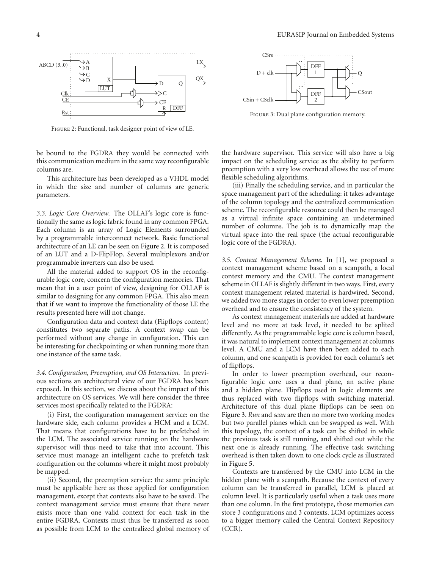

Figure 2: Functional, task designer point of view of LE.

be bound to the FGDRA they would be connected with this communication medium in the same way reconfigurable columns are.

This architecture has been developed as a VHDL model in which the size and number of columns are generic parameters.

*3.3. Logic Core Overview.* The OLLAF's logic core is functionally the same as logic fabric found in any common FPGA. Each column is an array of Logic Elements surrounded by a programmable interconnect network. Basic functional architecture of an LE can be seen on Figure 2. It is composed of an LUT and a D-FlipFlop. Several multiplexors and/or programmable inverters can also be used.

All the material added to support OS in the reconfigurable logic core, concern the configuration memories. That mean that in a user point of view, designing for OLLAF is similar to designing for any common FPGA. This also mean that if we want to improve the functionality of those LE the results presented here will not change.

Configuration data and context data (Flipflops content) constitutes two separate paths. A context swap can be performed without any change in configuration. This can be interesting for checkpointing or when running more than one instance of the same task.

*3.4. Configuration, Preemption, and OS Interaction.* In previous sections an architectural view of our FGDRA has been exposed. In this section, we discuss about the impact of this architecture on OS services. We will here consider the three services most specifically related to the FGDRA:

(i) First, the configuration management service: on the hardware side, each column provides a HCM and a LCM. That means that configurations have to be prefetched in the LCM. The associated service running on the hardware supervisor will thus need to take that into account. This service must manage an intelligent cache to prefetch task configuration on the columns where it might most probably be mapped.

(ii) Second, the preemption service: the same principle must be applicable here as those applied for configuration management, except that contexts also have to be saved. The context management service must ensure that there never exists more than one valid context for each task in the entire FGDRA. Contexts must thus be transferred as soon as possible from LCM to the centralized global memory of



FIGURE 3: Dual plane configuration memory.

the hardware supervisor. This service will also have a big impact on the scheduling service as the ability to perform preemption with a very low overhead allows the use of more flexible scheduling algorithms.

(iii) Finally the scheduling service, and in particular the space management part of the scheduling: it takes advantage of the column topology and the centralized communication scheme. The reconfigurable resource could then be managed as a virtual infinite space containing an undetermined number of columns. The job is to dynamically map the virtual space into the real space (the actual reconfigurable logic core of the FGDRA).

*3.5. Context Management Scheme.* In [1], we proposed a context management scheme based on a scanpath, a local context memory and the CMU. The context management scheme in OLLAF is slightly different in two ways. First, every context management related material is hardwired. Second, we added two more stages in order to even lower preemption overhead and to ensure the consistency of the system.

As context management materials are added at hardware level and no more at task level, it needed to be splited differently. As the programmable logic core is column based, it was natural to implement context management at columns level. A CMU and a LCM have then been added to each column, and one scanpath is provided for each column's set of flipflops.

In order to lower preemption overhead, our reconfigurable logic core uses a dual plane, an active plane and a hidden plane. Flipflops used in logic elements are thus replaced with two flipflops with switching material. Architecture of this dual plane flipflops can be seen on Figure 3. *Run* and *scan* are then no more two working modes but two parallel planes which can be swapped as well. With this topology, the context of a task can be shifted in while the previous task is still running, and shifted out while the next one is already running. The effective task switching overhead is then taken down to one clock cycle as illustrated in Figure 5.

Contexts are transferred by the CMU into LCM in the hidden plane with a scanpath. Because the context of every column can be transferred in parallel, LCM is placed at column level. It is particularly useful when a task uses more than one column. In the first prototype, those memories can store 3 configurations and 3 contexts. LCM optimizes access to a bigger memory called the Central Context Repository (CCR).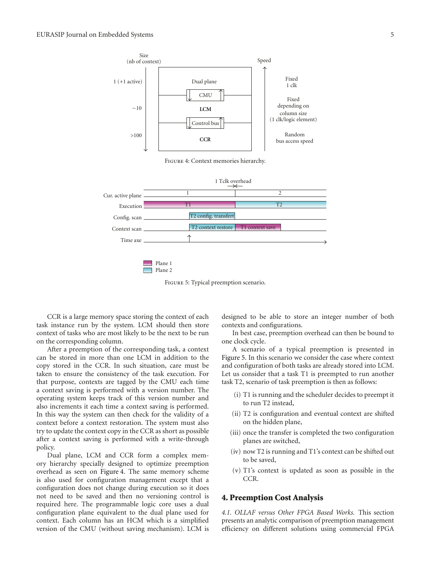

Figure 5: Typical preemption scenario.

CCR is a large memory space storing the context of each task instance run by the system. LCM should then store context of tasks who are most likely to be the next to be run on the corresponding column.

After a preemption of the corresponding task, a context can be stored in more than one LCM in addition to the copy stored in the CCR. In such situation, care must be taken to ensure the consistency of the task execution. For that purpose, contexts are tagged by the CMU each time a context saving is performed with a version number. The operating system keeps track of this version number and also increments it each time a context saving is performed. In this way the system can then check for the validity of a context before a context restoration. The system must also try to update the context copy in the CCR as short as possible after a context saving is performed with a write-through policy.

Dual plane, LCM and CCR form a complex memory hierarchy specially designed to optimize preemption overhead as seen on Figure 4. The same memory scheme is also used for configuration management except that a configuration does not change during execution so it does not need to be saved and then no versioning control is required here. The programmable logic core uses a dual configuration plane equivalent to the dual plane used for context. Each column has an HCM which is a simplified version of the CMU (without saving mechanism). LCM is

designed to be able to store an integer number of both contexts and configurations.

In best case, preemption overhead can then be bound to one clock cycle.

A scenario of a typical preemption is presented in Figure 5. In this scenario we consider the case where context and configuration of both tasks are already stored into LCM. Let us consider that a task T1 is preempted to run another task T2, scenario of task preemption is then as follows:

- (i) T1 is running and the scheduler decides to preempt it to run T2 instead,
- (ii) T2 is configuration and eventual context are shifted on the hidden plane,
- (iii) once the transfer is completed the two configuration planes are switched,
- (iv) now T2 is running and T1's context can be shifted out to be saved,
- (v) T1's context is updated as soon as possible in the CCR.

#### **4. Preemption Cost Analysis**

*4.1. OLLAF versus Other FPGA Based Works.* This section presents an analytic comparison of preemption management efficiency on different solutions using commercial FPGA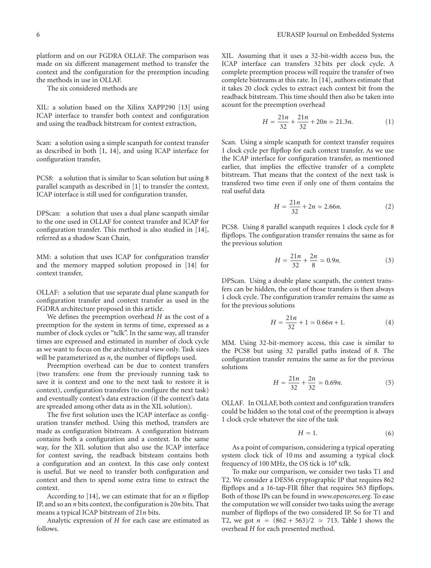platform and on our FGDRA OLLAF. The comparison was made on six different management method to transfer the context and the configuration for the preemption incuding the methods in use in OLLAF.

The six considered methods are

XIL: a solution based on the Xilinx XAPP290 [13] using ICAP interface to transfer both context and configuration and using the readback bitstream for context extraction,

Scan: a solution using a simple scanpath for context transfer as described in both [1, 14], and using ICAP interface for configuration transfer,

PCS8: a solution that is similar to Scan solution but using 8 parallel scanpath as described in [1] to transfer the context, ICAP interface is still used for configuration transfer,

DPScan: a solution that uses a dual plane scanpath similar to the one used in OLLAF for context transfer and ICAP for configuration transfer. This method is also studied in [14], referred as a shadow Scan Chain,

MM: a solution that uses ICAP for configuration transfer and the memory mapped solution proposed in [14] for context transfer,

OLLAF: a solution that use separate dual plane scanpath for configuration transfer and context transfer as used in the FGDRA architecture proposed in this article.

We defines the preemption overhead *H* as the cost of a preemption for the system in terms of time, expressed as a number of clock cycles or "tclk". In the same way, all transfer times are expressed and estimated in number of clock cycle as we want to focus on the architectural view only. Task sizes will be parameterized as *n*, the number of flipflops used.

Preemption overhead can be due to context transfers (two transfers: one from the previously running task to save it is context and one to the next task to restore it is context), configuration transfers (to configure the next task) and eventually context's data extraction (if the context's data are spreaded among other data as in the XIL solution).

The five first solution uses the ICAP interface as configuration transfer method. Using this method, transfers are made as configuration bitstream. A configuration bistream contains both a configuration and a context. In the same way, for the XIL solution that also use the ICAP interface for context saving, the readback bitsteam contains both a configuration and an context. In this case only context is useful. But we need to transfer both configuration and context and then to spend some extra time to extract the context.

According to [14], we can estimate that for an *n* flipflop IP, and so an *n* bits context, the configuration is 20*n* bits. That means a typical ICAP bitstream of 21*n* bits.

Analytic expression of *H* for each case are estimated as follows.

XIL*.* Assuming that it uses a 32-bit-width access bus, the ICAP interface can transfers 32 bits per clock cycle. A complete preemption process will require the transfer of two complete bistreams at this rate. In [14], authors estimate that it takes 20 clock cycles to extract each context bit from the readback bitstream. This time should then also be taken into acount for the preemption overhead

$$
H = \frac{21n}{32} + \frac{21n}{32} + 20n \simeq 21.3n.
$$
 (1)

Scan*.* Using a simple scanpath for context transfer requires 1 clock cycle per flipflop for each context transfer. As we use the ICAP interface for configuration transfer, as mentioned earlier, that implies the effective transfer of a complete bitstream. That means that the context of the next task is transfered two time even if only one of them contains the real useful data

$$
H = \frac{21n}{32} + 2n \simeq 2.66n.
$$
 (2)

PCS8*.* Using 8 parallel scanpath requires 1 clock cycle for 8 flipflops. The configuration transfer remains the same as for the previous solution

$$
H = \frac{21n}{32} + \frac{2n}{8} \simeq 0.9n.
$$
 (3)

DPScan*.* Using a double plane scanpath, the context transfers can be hidden, the cost of those transfers is then always 1 clock cycle. The configuration transfer remains the same as for the previous solutions

$$
H = \frac{21n}{32} + 1 \simeq 0.66n + 1. \tag{4}
$$

MM*.* Using 32-bit-memory access, this case is similar to the PCS8 but using 32 parallel paths instead of 8. The configuration transfer remains the same as for the previous solutions

$$
H = \frac{21n}{32} + \frac{2n}{32} \simeq 0.69n.
$$
 (5)

OLLAF*.* In OLLAF, both context and configuration transfers could be hidden so the total cost of the preemption is always 1 clock cycle whatever the size of the task

$$
H = 1.\t\t(6)
$$

As a point of comparison, considering a typical operating system clock tick of 10 ms and assuming a typical clock frequency of 100 MHz, the OS tick is  $10^6$  tclk.

To make our comparison, we consider two tasks T1 and T2. We consider a DES56 cryptographic IP that requires 862 flipflops and a 16-tap-FIR filter that requires 563 flipflops. Both of those IPs can be found in *www.opencores.org*. To ease the computation we will consider two tasks using the average number of flipflops of the two considered IP. So for T1 and T2, we got  $n = (862 + 563)/2 \approx 713$ . Table 1 shows the overhead *H* for each presented method.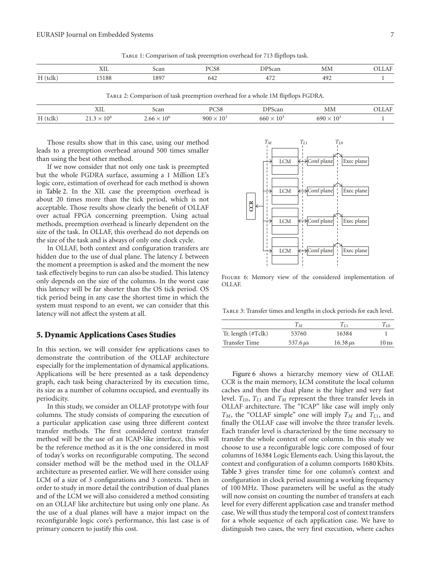|  |  |  |  |  |  |  | TABLE 1: Comparison of task preemption overhead for 713 flipflops task. |  |
|--|--|--|--|--|--|--|-------------------------------------------------------------------------|--|
|--|--|--|--|--|--|--|-------------------------------------------------------------------------|--|

|                    | <b>TYTT</b><br>77.TT | $\sim$ | .   | n n o                                |        | <b>The Second Second</b> |
|--------------------|----------------------|--------|-----|--------------------------------------|--------|--------------------------|
| H<br>111<br>______ | 5188                 | $180-$ | ∪⊤∠ | $\overline{\phantom{a}}$<br>$\Delta$ | $\sim$ |                          |

Table 2: Comparison of task preemption overhead for a whole 1M flipflops FGDRA.

|           | ХIL | ocan      | DCCG<br>ుర |     | MМ              | $A$ $\vdash$ |
|-----------|-----|-----------|------------|-----|-----------------|--------------|
| $H(t$ clk | ∟∩n | ∟o<br>.66 | 900        | 560 | 60 <sup>o</sup> |              |

Those results show that in this case, using our method leads to a preemption overhead around 500 times smaller than using the best other method.

If we now consider that not only one task is preempted but the whole FGDRA surface, assuming a 1 Million LE's logic core, estimation of overhead for each method is shown in Table 2. In the XIL case the preemption overhead is about 20 times more than the tick period, which is not acceptable. Those results show clearly the benefit of OLLAF over actual FPGA concerning preemption. Using actual methods, preemption overhead is linearly dependent on the size of the task. In OLLAF, this overhead do not depends on the size of the task and is always of only one clock cycle.

In OLLAF, both context and configuration transfers are hidden due to the use of dual plane. The latency *L* between the moment a preemption is asked and the moment the new task effectively begins to run can also be studied. This latency only depends on the size of the columns. In the worst case this latency will be far shorter than the OS tick period. OS tick period being in any case the shortest time in which the system must respond to an event, we can consider that this latency will not affect the system at all.

#### **5. Dynamic Applications Cases Studies**

In this section, we will consider few applications cases to demonstrate the contribution of the OLLAF architecture especially for the implementation of dynamical applications. Applications will be here presented as a task dependency graph, each task being characterized by its execution time, its size as a number of columns occupied, and eventually its periodicity.

In this study, we consider an OLLAF prototype with four columns. The study consists of comparing the execution of a particular application case using three different context transfer methods. The first considered context transfer method will be the use of an ICAP-like interface, this will be the reference method as it is the one considered in most of today's works on reconfigurable computing. The second consider method will be the method used in the OLLAF architecture as presented earlier. We will here consider using LCM of a size of 3 configurations and 3 contexts. Then in order to study in more detail the contribution of dual planes and of the LCM we will also considered a method consisting on an OLLAF like architecture but using only one plane. As the use of a dual planes will have a major impact on the reconfigurable logic core's performance, this last case is of primary concern to justify this cost.



Figure 6: Memory view of the considered implementation of OLLAF.

TABLE 3: Transfer times and lengths in clock periods for each level.

|                      | $I_M$         | Tп              | Γю                 |
|----------------------|---------------|-----------------|--------------------|
| Tr. length (#Tclk)   | 53760         | 16384           |                    |
| <b>Transfer Time</b> | 537.6 $\mu$ s | $16.38 \,\mu s$ | $10 \,\mathrm{ns}$ |

Figure 6 shows a hierarchy memory view of OLLAF. CCR is the main memory, LCM constitute the local column caches and then the dual plane is the higher and very fast level. *T*<sub>L0</sub>, *T*<sub>L1</sub> and *T<sub>M</sub>* represent the three transfer levels in OLLAF architecture. The "ICAP" like case will imply only  $T_M$ , the "OLLAF simple" one will imply  $T_M$  and  $T_{L1}$ , and finally the OLLAF case will involve the three transfer levels. Each transfer level is characterized by the time necessary to transfer the whole context of one column. In this study we choose to use a reconfigurable logic core composed of four columns of 16384 Logic Elements each. Using this layout, the context and configuration of a column comports 1680 Kbits. Table 3 gives transfer time for one column's context and configuration in clock period assuming a working frequency of 100 MHz. Those parameters will be useful as the study will now consist on counting the number of transfers at each level for every different application case and transfer method case. We will thus study the temporal cost of context transfers for a whole sequence of each application case. We have to distinguish two cases, the very first execution, where caches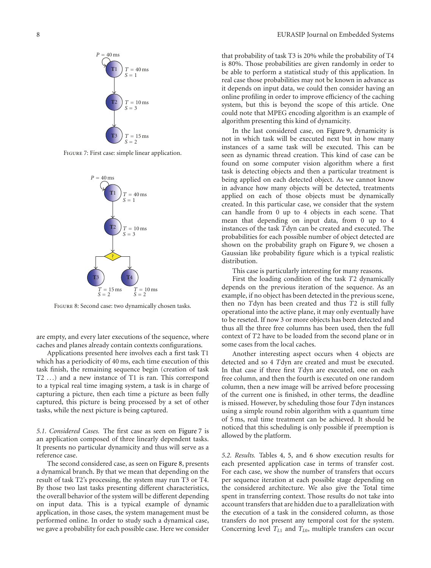

FIGURE 7: First case: simple linear application.



Figure 8: Second case: two dynamically chosen tasks.

are empty, and every later executions of the sequence, where caches and planes already contain contexts configurations.

Applications presented here involves each a first task T1 which has a periodicity of 40 ms, each time execution of this task finish, the remaining sequence begin (creation of task T2 *...*) and a new instance of T1 is ran. This correspond to a typical real time imaging system, a task is in charge of capturing a picture, then each time a picture as been fully captured, this picture is being processed by a set of other tasks, while the next picture is being captured.

*5.1. Considered Cases.* The first case as seen on Figure 7 is an application composed of three linearly dependent tasks. It presents no particular dynamicity and thus will serve as a reference case.

The second considered case, as seen on Figure 8, presents a dynamical branch. By that we mean that depending on the result of task T2's processing, the system may run T3 or T4. By those two last tasks presenting different characteristics, the overall behavior of the system will be different depending on input data. This is a typical example of dynamic application, in those cases, the system management must be performed online. In order to study such a dynamical case, we gave a probability for each possible case. Here we consider

that probability of task T3 is 20% while the probability of T4 is 80%. Those probabilities are given randomly in order to be able to perform a statistical study of this application. In real case those probabilities may not be known in advance as it depends on input data, we could then consider having an online profiling in order to improve efficiency of the caching system, but this is beyond the scope of this article. One could note that MPEG encoding algorithm is an example of algorithm presenting this kind of dynamicity.

In the last considered case, on Figure 9, dynamicity is not in which task will be executed next but in how many instances of a same task will be executed. This can be seen as dynamic thread creation. This kind of case can be found on some computer vision algorithm where a first task is detecting objects and then a particular treatment is being applied on each detected object. As we cannot know in advance how many objects will be detected, treatments applied on each of those objects must be dynamically created. In this particular case, we consider that the system can handle from 0 up to 4 objects in each scene. That mean that depending on input data, from 0 up to 4 instances of the task *T*dyn can be created and executed. The probabilities for each possible number of object detected are shown on the probability graph on Figure 9, we chosen a Gaussian like probability figure which is a typical realistic distribution.

This case is particularly interesting for many reasons.

First the loading condition of the task *T*2 dynamically depends on the previous iteration of the sequence. As an example, if no object has been detected in the previous scene, then no *T*dyn has been created and thus *T*2 is still fully operational into the active plane, it may only eventually have to be reseted. If now 3 or more objects has been detected and thus all the three free columns has been used, then the full context of *T*2 have to be loaded from the second plane or in some cases from the local caches.

Another interesting aspect occurs when 4 objects are detected and so 4 *T*dyn are created and must be executed. In that case if three first *T*dyn are executed, one on each free column, and then the fourth is executed on one random column, then a new image will be arrived before processing of the current one is finished, in other terms, the deadline is missed. However, by scheduling those four *T*dyn instances using a simple round robin algorithm with a quantum time of 5 ms, real time treatment can be achieved. It should be noticed that this scheduling is only possible if preemption is allowed by the platform.

*5.2. Results.* Tables 4, 5, and 6 show execution results for each presented application case in terms of transfer cost. For each case, we show the number of transfers that occurs per sequence iteration at each possible stage depending on the considered architecture. We also give the Total time spent in transferring context. Those results do not take into account transfers that are hidden due to a parallelization with the execution of a task in the considered column, as those transfers do not present any temporal cost for the system. Concerning level *TL*<sup>1</sup> and *TL*0, multiple transfers can occur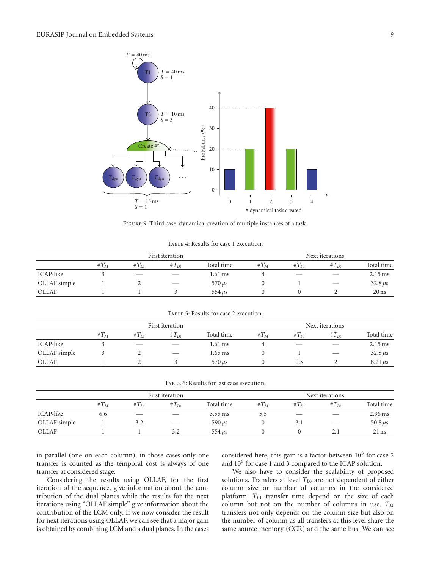

Figure 9: Third case: dynamical creation of multiple instances of a task.

| TABLE 4: Results for case 1 execution. |  |  |
|----------------------------------------|--|--|
|----------------------------------------|--|--|

|              | First iteration |           |          |                  | Next iterations |               |           |                      |  |
|--------------|-----------------|-----------|----------|------------------|-----------------|---------------|-----------|----------------------|--|
|              | # $T_M$         | $#T_{11}$ | $T_{I0}$ | Total time       | # $T_M$         | $#T_{11}$     | $T_{I,0}$ | Total time           |  |
| ICAP-like    |                 | $-$       |          | 1.61 ms          |                 | $\frac{1}{2}$ |           | $2.15 \,\mathrm{ms}$ |  |
| OLLAF simple |                 |           |          | $570 \,\mu s$    |                 |               |           | $32.8 \,\mu s$       |  |
| <b>OLLAF</b> |                 |           |          | $554 \text{ us}$ |                 |               |           | $20$ ns              |  |

Table 5: Results for case 2 execution.

|              |         |           | First iteration |                     | Next iterations |           |           |                      |  |
|--------------|---------|-----------|-----------------|---------------------|-----------------|-----------|-----------|----------------------|--|
|              | # $T_M$ | $#T_{L1}$ | $#T_{L0}$       | Total time          | # $T_M$         | $#T_{L1}$ | $#T_{L0}$ | Total time           |  |
| ICAP-like    |         | $-$       |                 | 1.61 ms             |                 |           |           | $2.15 \,\mathrm{ms}$ |  |
| OLLAF simple |         |           |                 | 1.65 ms             |                 |           |           | $32.8 \,\mu s$       |  |
| <b>OLLAF</b> |         |           |                 | $570 \,\mathrm{us}$ |                 | ს.5       |           | $8.21 \mu s$         |  |

| TABLE 6: Results for last case execution. |  |
|-------------------------------------------|--|
|-------------------------------------------|--|

|              | First iteration |           |            |                  |         |           | Next iterations |                      |
|--------------|-----------------|-----------|------------|------------------|---------|-----------|-----------------|----------------------|
|              | $#T_M$          | $#T_{L1}$ | $#T_{I,0}$ | Total time       | # $T_M$ | $#T_{L1}$ | $T_{I,0}$       | Total time           |
| ICAP-like    | 6.6             |           |            | $3.55$ ms        | 5.5     |           |                 | $2.96 \,\mathrm{ms}$ |
| OLLAF simple |                 | 3.2       |            | $590 \,\mu s$    |         | 3.1       |                 | 50.8 $\mu$ s         |
| <b>OLLAF</b> |                 |           | 3.2        | $554 \text{ us}$ |         |           |                 | $21$ ns              |

in parallel (one on each column), in those cases only one transfer is counted as the temporal cost is always of one transfer at considered stage.

Considering the results using OLLAF, for the first iteration of the sequence, give information about the contribution of the dual planes while the results for the next iterations using "OLLAF simple" give information about the contribution of the LCM only. If we now consider the result for next iterations using OLLAF, we can see that a major gain is obtained by combining LCM and a dual planes. In the cases

considered here, this gain is a factor between  $10<sup>3</sup>$  for case 2 and 10<sup>6</sup> for case 1 and 3 compared to the ICAP solution.

We also have to consider the scalability of proposed solutions. Transfers at level  $T_{L0}$  are not dependent of either column size or number of columns in the considered platform.  $T_{L1}$  transfer time depend on the size of each column but not on the number of columns in use. *TM* transfers not only depends on the column size but also on the number of column as all transfers at this level share the same source memory (CCR) and the same bus. We can see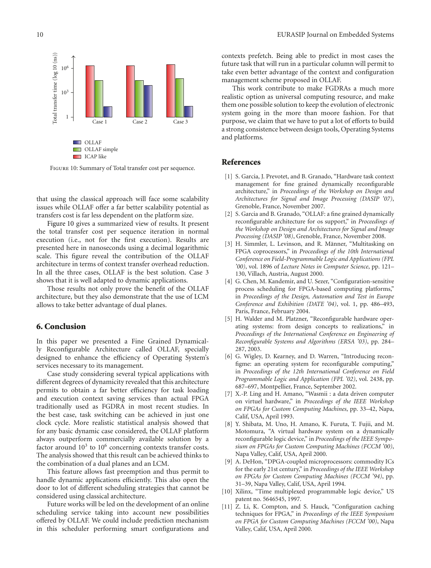

Figure 10: Summary of Total transfer cost per sequence.

that using the classical approach will face some scalability issues while OLLAF offer a far better scalability potential as transfers cost is far less dependent on the platform size.

Figure 10 gives a summarized view of results. It present the total transfer cost per sequence iteration in normal execution (i.e., not for the first execution). Results are presented here in nanoseconds using a decimal logarithmic scale. This figure reveal the contribution of the OLLAF architecture in terms of context transfer overhead reduction. In all the three cases, OLLAF is the best solution. Case 3 shows that it is well adapted to dynamic applications.

Those results not only prove the benefit of the OLLAF architecture, but they also demonstrate that the use of LCM allows to take better advantage of dual planes.

#### **6. Conclusion**

In this paper we presented a Fine Grained Dynamically Reconfigurable Architecture called OLLAF, specially designed to enhance the efficiency of Operating System's services necessary to its management.

Case study considering several typical applications with different degrees of dynamicity revealed that this architecture permits to obtain a far better efficiency for task loading and execution context saving services than actual FPGA traditionally used as FGDRA in most recent studies. In the best case, task switching can be achieved in just one clock cycle. More realistic statistical analysis showed that for any basic dynamic case considered, the OLLAF platform always outperform commercially available solution by a factor around  $10<sup>3</sup>$  to  $10<sup>6</sup>$  concerning contexts transfer costs. The analysis showed that this result can be achieved thinks to the combination of a dual planes and an LCM.

This feature allows fast preemption and thus permit to handle dynamic applications efficiently. This also open the door to lot of different scheduling strategies that cannot be considered using classical architecture.

Future works will be led on the development of an online scheduling service taking into account new possibilities offered by OLLAF. We could include prediction mechanism in this scheduler performing smart configurations and

contexts prefetch. Being able to predict in most cases the future task that will run in a particular column will permit to take even better advantage of the context and configuration management scheme proposed in OLLAF.

This work contribute to make FGDRAs a much more realistic option as universal computing resource, and make them one possible solution to keep the evolution of electronic system going in the more than moore fashion. For that purpose, we claim that we have to put a lot of efforts to build a strong consistence between design tools, Operating Systems and platforms.

#### **References**

- [1] S. Garcia, J. Prevotet, and B. Granado, "Hardware task context" management for fine grained dynamically reconfigurable architecture," in *Proceedings of the Workshop on Design and Architectures for Signal and Image Processing (DASIP '07)*, Grenoble, France, November 2007.
- [2] S. Garcia and B. Granado, "OLLAF: a fine grained dynamically reconfigurable architecture for os support," in *Proceedings of the Workshop on Design and Architectures for Signal and Image Processing (DASIP '08)*, Grenoble, France, November 2008.
- [3] H. Simmler, L. Levinson, and R. Männer, "Multitasking on FPGA coprocessors," in *Proceedings of the 10th International Conference on Field-Programmable Logic and Applications (FPL '00)*, vol. 1896 of *Lecture Notes in Computer Science*, pp. 121– 130, Villach, Austria, August 2000.
- [4] G. Chen, M. Kandemir, and U. Sezer, "Configuration-sensitive process scheduling for FPGA-based computing platforms," in *Proceedings of the Design, Automation and Test in Europe Conference and Exhibition (DATE '04)*, vol. 1, pp. 486–493, Paris, France, February 2004.
- [5] H. Walder and M. Platzner, "Reconfigurable hardware operating systems: from design concepts to realizations," in *Proceedings of the International Conference on Engineering of Reconfigurable Systems and Algorithms (ERSA '03)*, pp. 284– 287, 2003.
- [6] G. Wigley, D. Kearney, and D. Warren, "Introducing reconfigme: an operating system for reconfigurable computing," in *Proceedings of the 12th International Conference on Field Programmable Logic and Application (FPL '02)*, vol. 2438, pp. 687–697, Montpellier, France, September 2002.
- [7] X.-P. Ling and H. Amano, "Wasmii : a data driven computer on virtuel hardware," in *Proceedings of the IEEE Workshop on FPGAs for Custom Computing Machines*, pp. 33–42, Napa, Calif, USA, April 1993.
- [8] Y. Shibata, M. Uno, H. Amano, K. Furuta, T. Fujii, and M. Motomura, "A virtual hardware system on a dynamically reconfigurable logic device," in *Proceedings of the IEEE Symposium on FPGAs for Custom Computing Machines (FCCM '00)*, Napa Valley, Calif, USA, April 2000.
- [9] A. DeHon, "DPGA-coupled microprocessors: commodity ICs for the early 21st century," in *Proceedings of the IEEE Workshop on FPGAs for Custom Computing Machines (FCCM '94)*, pp. 31–39, Napa Valley, Calif, USA, April 1994.
- [10] Xilinx, "Time multiplexed programmable logic device," US patent no. 5646545, 1997.
- [11] Z. Li, K. Compton, and S. Hauck, "Configuration caching techniques for FPGA," in *Proceedings of the IEEE Symposium on FPGA for Custom Computing Machines (FCCM '00)*, Napa Valley, Calif, USA, April 2000.